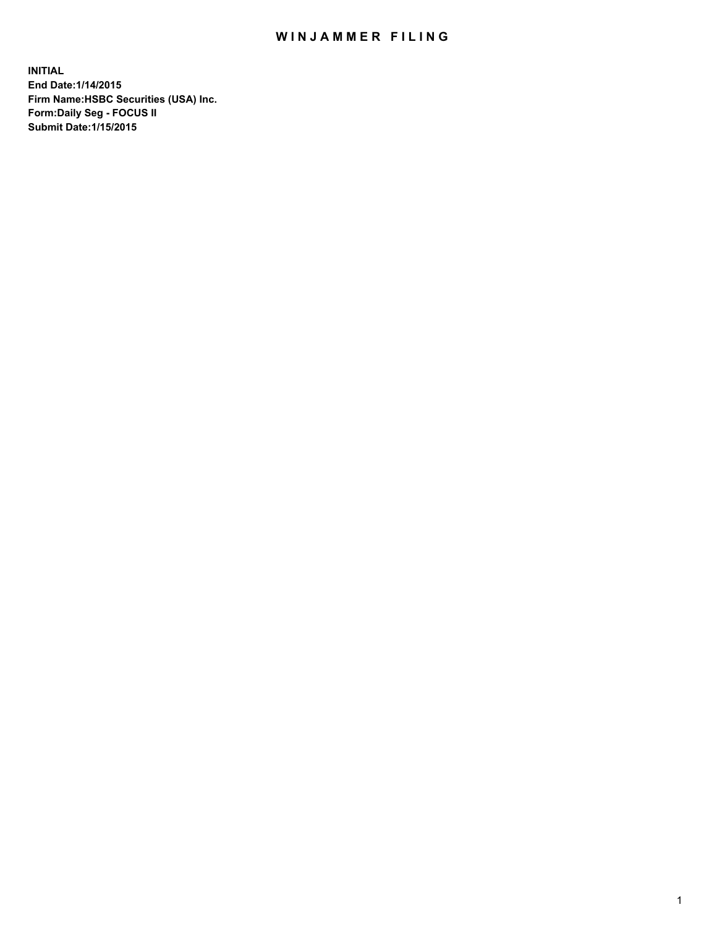## WIN JAMMER FILING

**INITIAL End Date:1/14/2015 Firm Name:HSBC Securities (USA) Inc. Form:Daily Seg - FOCUS II Submit Date:1/15/2015**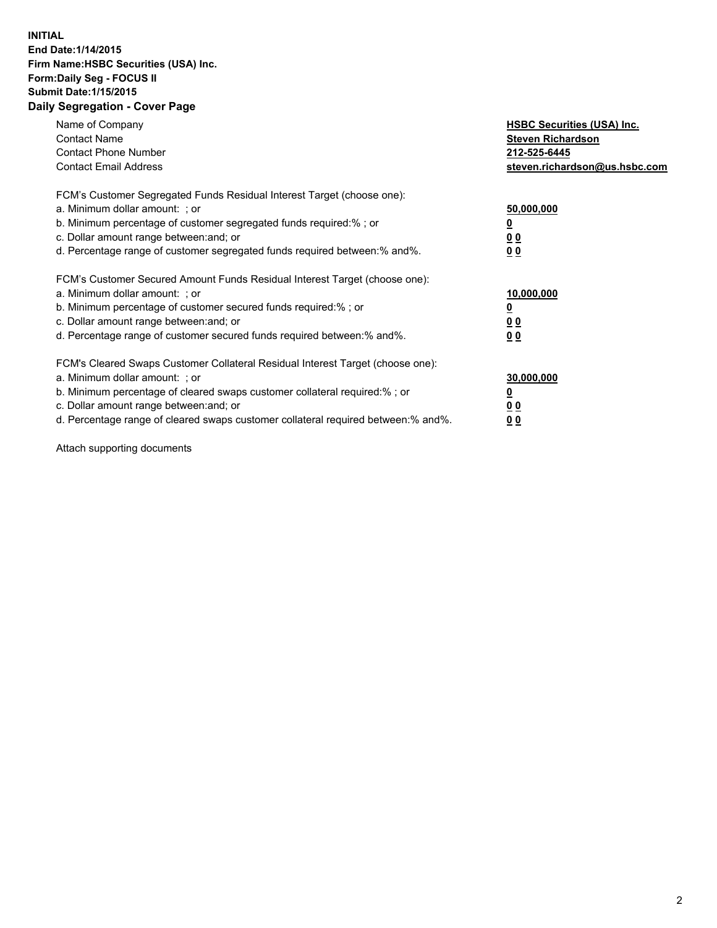## **INITIAL End Date:1/14/2015 Firm Name:HSBC Securities (USA) Inc. Form:Daily Seg - FOCUS II Submit Date:1/15/2015 Daily Segregation - Cover Page**

| Name of Company<br><b>Contact Name</b><br><b>Contact Phone Number</b><br><b>Contact Email Address</b>                                                                                                                                                                                                                          | <b>HSBC Securities (USA) Inc.</b><br><b>Steven Richardson</b><br>212-525-6445<br>steven.richardson@us.hsbc.com |
|--------------------------------------------------------------------------------------------------------------------------------------------------------------------------------------------------------------------------------------------------------------------------------------------------------------------------------|----------------------------------------------------------------------------------------------------------------|
| FCM's Customer Segregated Funds Residual Interest Target (choose one):<br>a. Minimum dollar amount: ; or<br>b. Minimum percentage of customer segregated funds required:%; or<br>c. Dollar amount range between: and; or<br>d. Percentage range of customer segregated funds required between: % and %.                        | 50,000,000<br>0 <sub>0</sub><br>0 <sub>0</sub>                                                                 |
| FCM's Customer Secured Amount Funds Residual Interest Target (choose one):<br>a. Minimum dollar amount: ; or<br>b. Minimum percentage of customer secured funds required:%; or<br>c. Dollar amount range between: and; or<br>d. Percentage range of customer secured funds required between:% and%.                            | 10,000,000<br><u>0</u><br>0 <sub>0</sub><br>0 <sub>0</sub>                                                     |
| FCM's Cleared Swaps Customer Collateral Residual Interest Target (choose one):<br>a. Minimum dollar amount: ; or<br>b. Minimum percentage of cleared swaps customer collateral required:% ; or<br>c. Dollar amount range between: and; or<br>d. Percentage range of cleared swaps customer collateral required between:% and%. | 30,000,000<br>00<br><u>00</u>                                                                                  |

Attach supporting documents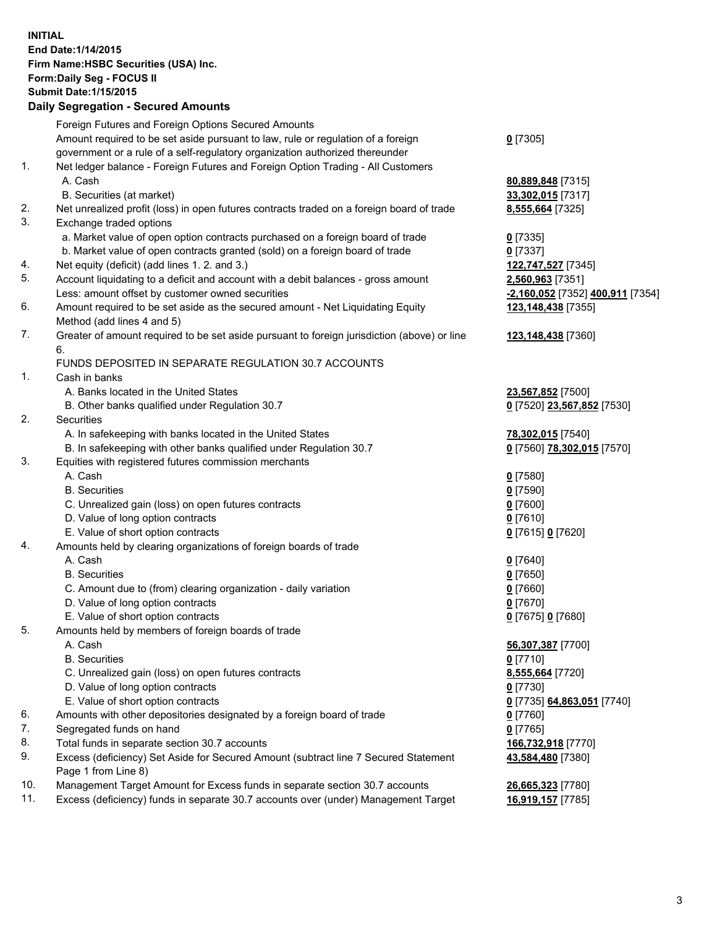**INITIAL End Date:1/14/2015 Firm Name:HSBC Securities (USA) Inc. Form:Daily Seg - FOCUS II Submit Date:1/15/2015 Daily Segregation - Secured Amounts**

Foreign Futures and Foreign Options Secured Amounts Amount required to be set aside pursuant to law, rule or regulation of a foreign government or a rule of a self-regulatory organization authorized thereunder **0** [7305] 1. Net ledger balance - Foreign Futures and Foreign Option Trading - All Customers A. Cash **80,889,848** [7315] B. Securities (at market) **33,302,015** [7317] 2. Net unrealized profit (loss) in open futures contracts traded on a foreign board of trade **8,555,664** [7325] 3. Exchange traded options a. Market value of open option contracts purchased on a foreign board of trade **0** [7335] b. Market value of open contracts granted (sold) on a foreign board of trade **0** [7337] 4. Net equity (deficit) (add lines 1. 2. and 3.) **122,747,527** [7345] 5. Account liquidating to a deficit and account with a debit balances - gross amount **2,560,963** [7351] Less: amount offset by customer owned securities **-2,160,052** [7352] **400,911** [7354] 6. Amount required to be set aside as the secured amount - Net Liquidating Equity Method (add lines 4 and 5) **123,148,438** [7355] 7. Greater of amount required to be set aside pursuant to foreign jurisdiction (above) or line 6. **123,148,438** [7360] FUNDS DEPOSITED IN SEPARATE REGULATION 30.7 ACCOUNTS 1. Cash in banks A. Banks located in the United States **23,567,852** [7500] B. Other banks qualified under Regulation 30.7 **0** [7520] **23,567,852** [7530] 2. Securities A. In safekeeping with banks located in the United States **78,302,015** [7540] B. In safekeeping with other banks qualified under Regulation 30.7 **0** [7560] **78,302,015** [7570] 3. Equities with registered futures commission merchants A. Cash **0** [7580] B. Securities **0** [7590] C. Unrealized gain (loss) on open futures contracts **0** [7600] D. Value of long option contracts **0** [7610] E. Value of short option contracts **0** [7615] **0** [7620] 4. Amounts held by clearing organizations of foreign boards of trade A. Cash **0** [7640] B. Securities **0** [7650] C. Amount due to (from) clearing organization - daily variation **0** [7660] D. Value of long option contracts **0** [7670] E. Value of short option contracts **0** [7675] **0** [7680] 5. Amounts held by members of foreign boards of trade A. Cash **56,307,387** [7700] B. Securities **0** [7710] C. Unrealized gain (loss) on open futures contracts **8,555,664** [7720] D. Value of long option contracts **0** [7730] E. Value of short option contracts **0** [7735] **64,863,051** [7740] 6. Amounts with other depositories designated by a foreign board of trade **0** [7760] 7. Segregated funds on hand **0** [7765] 8. Total funds in separate section 30.7 accounts **166,732,918** [7770] 9. Excess (deficiency) Set Aside for Secured Amount (subtract line 7 Secured Statement Page 1 from Line 8) **43,584,480** [7380] 10. Management Target Amount for Excess funds in separate section 30.7 accounts **26,665,323** [7780] 11. Excess (deficiency) funds in separate 30.7 accounts over (under) Management Target **16,919,157** [7785]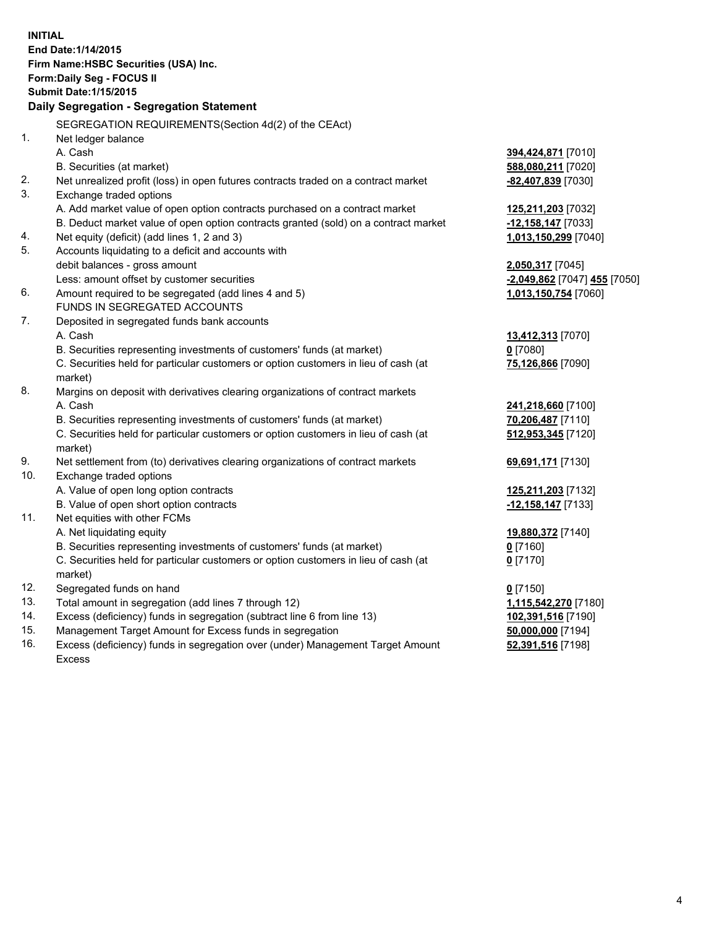| <b>INITIAL</b> | End Date: 1/14/2015<br>Firm Name: HSBC Securities (USA) Inc.<br>Form: Daily Seg - FOCUS II                    |                              |
|----------------|---------------------------------------------------------------------------------------------------------------|------------------------------|
|                | <b>Submit Date: 1/15/2015</b>                                                                                 |                              |
|                | Daily Segregation - Segregation Statement                                                                     |                              |
|                |                                                                                                               |                              |
|                | SEGREGATION REQUIREMENTS(Section 4d(2) of the CEAct)                                                          |                              |
| 1.             | Net ledger balance                                                                                            |                              |
|                | A. Cash                                                                                                       | 394,424,871 [7010]           |
|                | B. Securities (at market)                                                                                     | 588,080,211 [7020]           |
| 2.<br>3.       | Net unrealized profit (loss) in open futures contracts traded on a contract market<br>Exchange traded options | -82,407,839 [7030]           |
|                | A. Add market value of open option contracts purchased on a contract market                                   | 125,211,203 [7032]           |
|                | B. Deduct market value of open option contracts granted (sold) on a contract market                           | $-12,158,147$ [7033]         |
| 4.             | Net equity (deficit) (add lines 1, 2 and 3)                                                                   | 1,013,150,299 [7040]         |
| 5.             | Accounts liquidating to a deficit and accounts with                                                           |                              |
|                | debit balances - gross amount                                                                                 | 2,050,317 [7045]             |
|                | Less: amount offset by customer securities                                                                    | -2,049,862 [7047] 455 [7050] |
| 6.             | Amount required to be segregated (add lines 4 and 5)                                                          | 1,013,150,754 [7060]         |
|                | FUNDS IN SEGREGATED ACCOUNTS                                                                                  |                              |
| 7.             | Deposited in segregated funds bank accounts                                                                   |                              |
|                | A. Cash                                                                                                       | 13,412,313 [7070]            |
|                | B. Securities representing investments of customers' funds (at market)                                        | $0$ [7080]                   |
|                | C. Securities held for particular customers or option customers in lieu of cash (at<br>market)                | 75,126,866 [7090]            |
| 8.             | Margins on deposit with derivatives clearing organizations of contract markets                                |                              |
|                | A. Cash                                                                                                       | 241,218,660 [7100]           |
|                | B. Securities representing investments of customers' funds (at market)                                        | 70,206,487 [7110]            |
|                | C. Securities held for particular customers or option customers in lieu of cash (at<br>market)                | 512,953,345 [7120]           |
| 9.             | Net settlement from (to) derivatives clearing organizations of contract markets                               | 69,691,171 [7130]            |
| 10.            | Exchange traded options                                                                                       |                              |
|                | A. Value of open long option contracts                                                                        | 125,211,203 [7132]           |
|                | B. Value of open short option contracts                                                                       | $-12,158,147$ [7133]         |
| 11.            | Net equities with other FCMs                                                                                  |                              |
|                | A. Net liquidating equity                                                                                     | 19,880,372 [7140]            |
|                | B. Securities representing investments of customers' funds (at market)                                        | 0 [7160]                     |
|                | C. Securities held for particular customers or option customers in lieu of cash (at                           | $0$ [7170]                   |
|                | market)                                                                                                       |                              |
| 12.            | Segregated funds on hand                                                                                      | $0$ [7150]                   |
| 13.            | Total amount in segregation (add lines 7 through 12)                                                          | 1,115,542,270 [7180]         |
| 14.            | Excess (deficiency) funds in segregation (subtract line 6 from line 13)                                       | 102,391,516 [7190]           |
| 15.            | Management Target Amount for Excess funds in segregation                                                      | 50,000,000 [7194]            |
| 16.            | Excess (deficiency) funds in segregation over (under) Management Target Amount                                | 52,391,516 [7198]            |

16. Excess (deficiency) funds in segregation over (under) Management Target Amount Excess